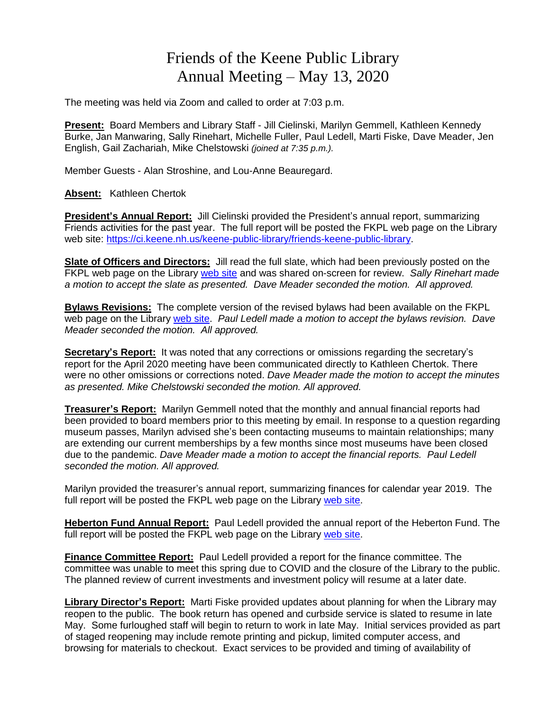## Friends of the Keene Public Library Annual Meeting – May 13, 2020

The meeting was held via Zoom and called to order at 7:03 p.m.

**Present:** Board Members and Library Staff - Jill Cielinski, Marilyn Gemmell, Kathleen Kennedy Burke, Jan Manwaring, Sally Rinehart, Michelle Fuller, Paul Ledell, Marti Fiske, Dave Meader, Jen English, Gail Zachariah, Mike Chelstowski *(joined at 7:35 p.m.).* 

Member Guests - Alan Stroshine, and Lou-Anne Beauregard.

**Absent:** Kathleen Chertok

**President's Annual Report:** Jill Cielinski provided the President's annual report, summarizing Friends activities for the past year. The full report will be posted the FKPL web page on the Library web site: [https://ci.keene.nh.us/keene-public-library/friends-keene-public-library.](https://ci.keene.nh.us/keene-public-library/friends-keene-public-library)

**Slate of Officers and Directors:** Jill read the full slate, which had been previously posted on the FKPL web page on the Library [web](https://ci.keene.nh.us/keene-public-library/friends-keene-public-library) site and was shared on-screen for review. *Sally Rinehart made a motion to accept the slate as presented. Dave Meader seconded the motion. All approved.*

**Bylaws Revisions:** The complete version of the revised bylaws had been available on the FKPL web page on the Library [web](https://ci.keene.nh.us/keene-public-library/friends-keene-public-library) site. *Paul Ledell made a motion to accept the bylaws revision. Dave Meader seconded the motion. All approved.*

**Secretary's Report:** It was noted that any corrections or omissions regarding the secretary's report for the April 2020 meeting have been communicated directly to Kathleen Chertok. There were no other omissions or corrections noted. *Dave Meader made the motion to accept the minutes as presented. Mike Chelstowski seconded the motion. All approved.*

**Treasurer's Report:** Marilyn Gemmell noted that the monthly and annual financial reports had been provided to board members prior to this meeting by email. In response to a question regarding museum passes, Marilyn advised she's been contacting museums to maintain relationships; many are extending our current memberships by a few months since most museums have been closed due to the pandemic. *Dave Meader made a motion to accept the financial reports. Paul Ledell seconded the motion. All approved.*

Marilyn provided the treasurer's annual report, summarizing finances for calendar year 2019. The full report will be posted the FKPL [web](https://ci.keene.nh.us/keene-public-library/friends-keene-public-library) page on the Library web site.

**Heberton Fund Annual Report:** Paul Ledell provided the annual report of the Heberton Fund. The full report will be posted the FKPL web page on the Library [web](https://ci.keene.nh.us/keene-public-library/friends-keene-public-library) site.

**Finance Committee Report:** Paul Ledell provided a report for the finance committee. The committee was unable to meet this spring due to COVID and the closure of the Library to the public. The planned review of current investments and investment policy will resume at a later date.

**Library Director's Report:** Marti Fiske provided updates about planning for when the Library may reopen to the public. The book return has opened and curbside service is slated to resume in late May. Some furloughed staff will begin to return to work in late May. Initial services provided as part of staged reopening may include remote printing and pickup, limited computer access, and browsing for materials to checkout. Exact services to be provided and timing of availability of